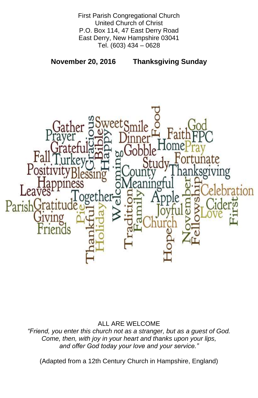First Parish Congregational Church United Church of Christ P.O. Box 114, 47 East Derry Road East Derry, New Hampshire 03041 Tel. (603) 434 – 0628

**November 20, 2016 Thanksgiving Sunday**



# ALL ARE WELCOME

*"Friend, you enter this church not as a stranger, but as a guest of God. Come, then, with joy in your heart and thanks upon your lips, and offer God today your love and your service."*

(Adapted from a 12th Century Church in Hampshire, England)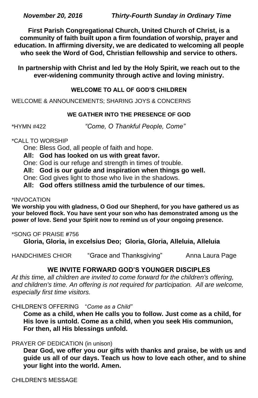**First Parish Congregational Church, United Church of Christ, is a community of faith built upon a firm foundation of worship, prayer and education. In affirming diversity, we are dedicated to welcoming all people who seek the Word of God, Christian fellowship and service to others.**

**In partnership with Christ and led by the Holy Spirit, we reach out to the ever-widening community through active and loving ministry.**

# **WELCOME TO ALL OF GOD'S CHILDREN**

WELCOME & ANNOUNCEMENTS; SHARING JOYS & CONCERNS

# **WE GATHER INTO THE PRESENCE OF GOD**

\*HYMN #422 *"Come, O Thankful People, Come"*

## \*CALL TO WORSHIP

One: Bless God, all people of faith and hope.

**All: God has looked on us with great favor.**

One: God is our refuge and strength in times of trouble.

**All: God is our guide and inspiration when things go well.**

One: God gives light to those who live in the shadows.

**All: God offers stillness amid the turbulence of our times.**

## \*INVOCATION

**We worship you with gladness, O God our Shepherd, for you have gathered us as your beloved flock. You have sent your son who has demonstrated among us the power of love. Send your Spirit now to remind us of your ongoing presence.**

# \*SONG OF PRAISE **#**756

**Gloria, Gloria, in excelsius Deo; Gloria, Gloria, Alleluia, Alleluia**

HANDCHIMES CHIOR "Grace and Thanksgiving" Anna Laura Page

# **WE INVITE FORWARD GOD'S YOUNGER DISCIPLES**

*At this time, all children are invited to come forward for the children's offering,*  and children's time. An offering is not required for participation. All are welcome, *especially first time visitors.*

#### CHILDREN'S OFFERING "*Come as a Child"*

**Come as a child, when He calls you to follow. Just come as a child, for His love is untold. Come as a child, when you seek His communion, For then, all His blessings unfold.**

#### PRAYER OF DEDICATION (in unison)

**Dear God, we offer you our gifts with thanks and praise, be with us and guide us all of our days. Teach us how to love each other, and to shine your light into the world. Amen.**

CHILDREN'S MESSAGE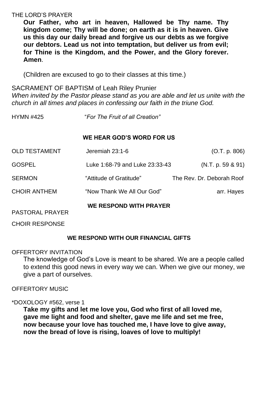## THE LORD'S PRAYER

**Our Father, who art in heaven, Hallowed be Thy name. Thy kingdom come; Thy will be done; on earth as it is in heaven. Give us this day our daily bread and forgive us our debts as we forgive our debtors. Lead us not into temptation, but deliver us from evil; for Thine is the Kingdom, and the Power, and the Glory forever. Amen**.

(Children are excused to go to their classes at this time.)

SACRAMENT OF BAPTISM of Leah Riley Prunier

*When invited by the Pastor please stand as you are able and let us unite with the church in all times and places in confessing our faith in the triune God.*

HYMN #425 "*For The Fruit of all Creation"*

## **WE HEAR GOD'S WORD FOR US**

| <b>PASTORAL PRAYER</b> | <b>WE RESPOND WITH PRAYER</b>  |                           |
|------------------------|--------------------------------|---------------------------|
| <b>CHOIR ANTHEM</b>    | "Now Thank We All Our God"     | arr. Hayes                |
| <b>SERMON</b>          | "Attitude of Gratitude"        | The Rev. Dr. Deborah Roof |
| <b>GOSPEL</b>          | Luke 1:68-79 and Luke 23:33-43 | (N.T. p. 59 & 91)         |
| <b>OLD TESTAMENT</b>   | Jeremiah 23:1-6                | (O.T. p. 806)             |

CHOIR RESPONSE

#### **WE RESPOND WITH OUR FINANCIAL GIFTS**

## OFFERTORY INVITATION

The knowledge of God's Love is meant to be shared. We are a people called to extend this good news in every way we can. When we give our money, we give a part of ourselves.

## OFFERTORY MUSIC

\*DOXOLOGY #562, verse 1

**Take my gifts and let me love you, God who first of all loved me, gave me light and food and shelter, gave me life and set me free, now because your love has touched me, I have love to give away, now the bread of love is rising, loaves of love to multiply!**